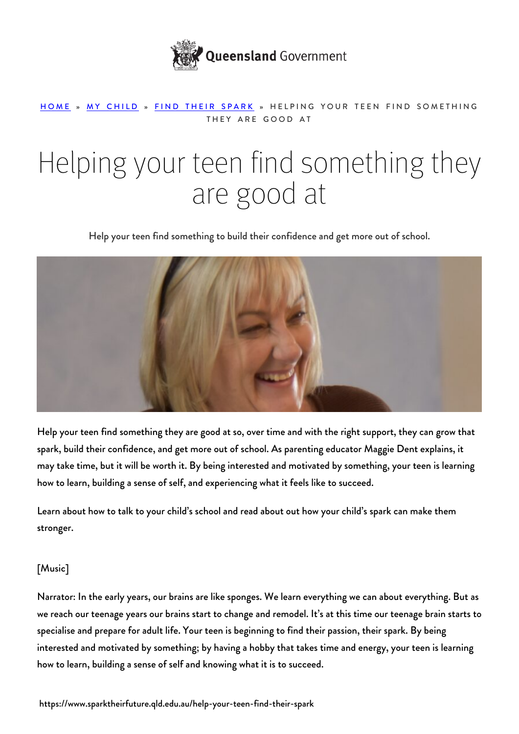

## [HOME](https://www.sparktheirfuture.qld.edu.au/) » [MY CHILD](https://www.sparktheirfuture.qld.edu.au/category/my-child/) » [FIND THEIR SPARK](https://www.sparktheirfuture.qld.edu.au/category/my-child/find-their-spark/) » HELPING YOUR TEEN FIND SOMETHING THEY ARE GOOD AT

## Helping your teen find something they are good at

Help your teen find something to build their confidence and get more out of school.



Help your teen find something they are good at so, over time and with the right support, they can grow that spark, build their confidence, and get more out of school. As parenting educator Maggie Dent explains, it may take time, but it will be worth it. By being interested and motivated by something, your teen is learning how to learn, building a sense of self, and experiencing what it feels like to succeed.

Learn about [how to talk to your child's school](https://www.sparktheirfuture.qld.edu.au/how-do-i-talk-to-the-school/) and read about out how your child's spark can make them [stronger.](https://www.sparktheirfuture.qld.edu.au/how-your-childs-spark-can-make-them-stronger/)

## [Music]

Narrator: In the early years, our brains are like sponges. We learn everything we can about everything. But as we reach our teenage years our brains start to change and remodel. It's at this time our teenage brain starts to specialise and prepare for adult life. Your teen is beginning to find their passion, their spark. By being interested and motivated by something; by having a hobby that takes time and energy, your teen is learning how to learn, building a sense of self and knowing what it is to succeed.